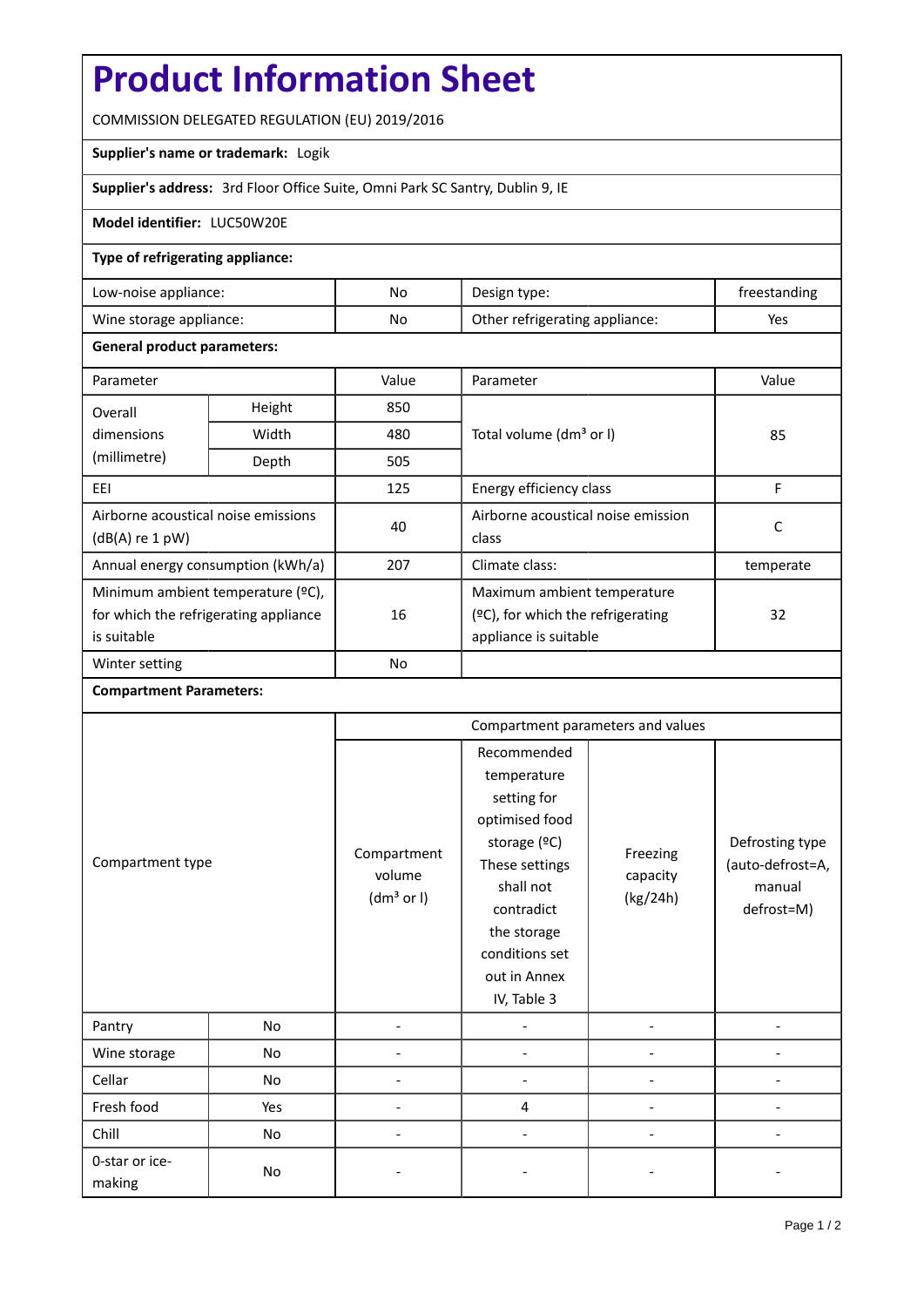# **Product Information Sheet**

COMMISSION DELEGATED REGULATION (EU) 2019/2016

## **Supplier's name or trademark:** Logik

**Supplier's address:** 3rd Floor Office Suite, Omni Park SC Santry, Dublin 9, IE

### **Model identifier:** LUC50W20E

### **Type of refrigerating appliance:**

| Low-noise appliance:    | No. | Design type:                   | treestanding |
|-------------------------|-----|--------------------------------|--------------|
| Wine storage appliance: | No  | Other refrigerating appliance: | Yes          |

### **General product parameters:**

| Parameter                                                |               | Value     | Parameter                            | Value     |  |
|----------------------------------------------------------|---------------|-----------|--------------------------------------|-----------|--|
| Overall                                                  | Height<br>850 |           |                                      |           |  |
| dimensions                                               | Width         | 480       | Total volume (dm <sup>3</sup> or I)  | 85        |  |
| (millimetre)                                             | Depth         | 505       |                                      |           |  |
| EEI                                                      |               | 125       | Energy efficiency class              | F         |  |
| Airborne acoustical noise emissions<br>$(dB(A)$ re 1 pW) |               | 40        | Airborne acoustical noise emission   | С         |  |
|                                                          |               |           | class                                |           |  |
| Annual energy consumption (kWh/a)                        |               | 207       | Climate class:                       | temperate |  |
| Minimum ambient temperature (°C),                        |               |           | Maximum ambient temperature          |           |  |
| for which the refrigerating appliance                    |               | 16        | $(2C)$ , for which the refrigerating | 32        |  |
| is suitable                                              |               |           | appliance is suitable                |           |  |
| Winter setting                                           |               | <b>No</b> |                                      |           |  |

### **Compartment Parameters:**

| Compartment type         |     | Compartment parameters and values               |                                                                                                                                                                                          |                                  |                                                             |
|--------------------------|-----|-------------------------------------------------|------------------------------------------------------------------------------------------------------------------------------------------------------------------------------------------|----------------------------------|-------------------------------------------------------------|
|                          |     | Compartment<br>volume<br>(dm <sup>3</sup> or I) | Recommended<br>temperature<br>setting for<br>optimised food<br>storage (°C)<br>These settings<br>shall not<br>contradict<br>the storage<br>conditions set<br>out in Annex<br>IV, Table 3 | Freezing<br>capacity<br>(kg/24h) | Defrosting type<br>(auto-defrost=A,<br>manual<br>defrost=M) |
| Pantry                   | No  |                                                 |                                                                                                                                                                                          |                                  |                                                             |
| Wine storage             | No  |                                                 |                                                                                                                                                                                          |                                  |                                                             |
| Cellar                   | No  |                                                 |                                                                                                                                                                                          |                                  |                                                             |
| Fresh food               | Yes |                                                 | 4                                                                                                                                                                                        |                                  |                                                             |
| Chill                    | No  |                                                 |                                                                                                                                                                                          |                                  |                                                             |
| 0-star or ice-<br>making | No  |                                                 |                                                                                                                                                                                          |                                  |                                                             |